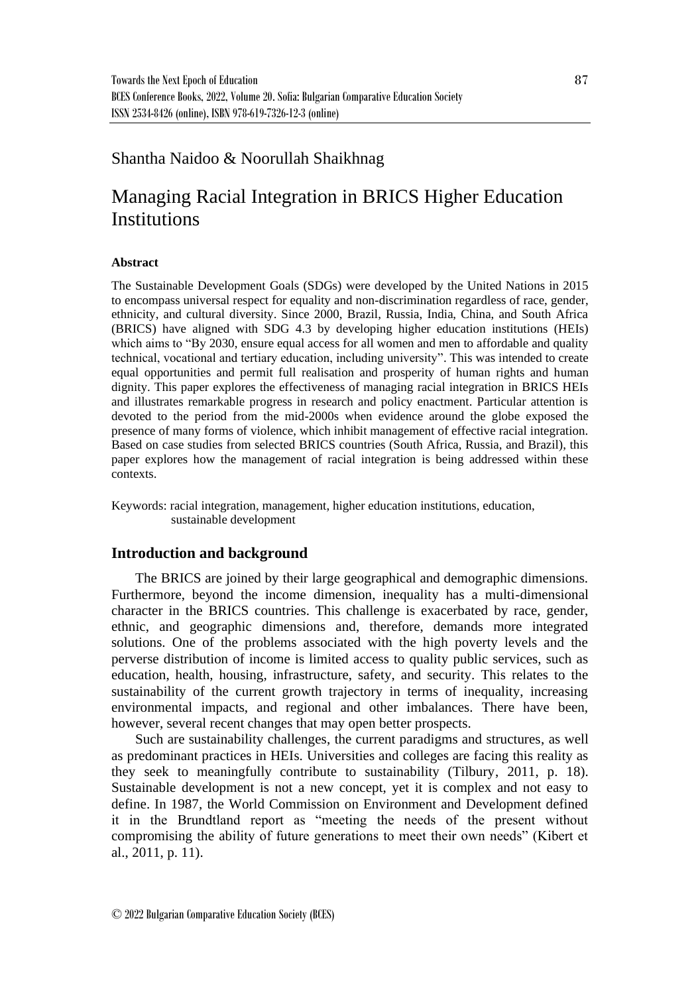## Shantha Naidoo & Noorullah Shaikhnag

# Managing Racial Integration in BRICS Higher Education Institutions

### **Abstract**

The Sustainable Development Goals (SDGs) were developed by the United Nations in 2015 to encompass universal respect for equality and non-discrimination regardless of race, gender, ethnicity, and cultural diversity. Since 2000, Brazil, Russia, India, China, and South Africa (BRICS) have aligned with SDG 4.3 by developing higher education institutions (HEIs) which aims to "By 2030, ensure equal access for all women and men to affordable and quality technical, vocational and tertiary education, including university". This was intended to create equal opportunities and permit full realisation and prosperity of human rights and human dignity. This paper explores the effectiveness of managing racial integration in BRICS HEIs and illustrates remarkable progress in research and policy enactment. Particular attention is devoted to the period from the mid-2000s when evidence around the globe exposed the presence of many forms of violence, which inhibit management of effective racial integration. Based on case studies from selected BRICS countries (South Africa, Russia, and Brazil), this paper explores how the management of racial integration is being addressed within these contexts.

Keywords: racial integration, management, higher education institutions, education, sustainable development

### **Introduction and background**

The BRICS are joined by their large geographical and demographic dimensions. Furthermore, beyond the income dimension, inequality has a multi-dimensional character in the BRICS countries. This challenge is exacerbated by race, gender, ethnic, and geographic dimensions and, therefore, demands more integrated solutions. One of the problems associated with the high poverty levels and the perverse distribution of income is limited access to quality public services, such as education, health, housing, infrastructure, safety, and security. This relates to the sustainability of the current growth trajectory in terms of inequality, increasing environmental impacts, and regional and other imbalances. There have been, however, several recent changes that may open better prospects.

Such are sustainability challenges, the current paradigms and structures, as well as predominant practices in HEIs. Universities and colleges are facing this reality as they seek to meaningfully contribute to sustainability (Tilbury, 2011, p. 18). Sustainable development is not a new concept, yet it is complex and not easy to define. In 1987, the World Commission on Environment and Development defined it in the Brundtland report as "meeting the needs of the present without compromising the ability of future generations to meet their own needs" (Kibert et al., 2011, p. 11).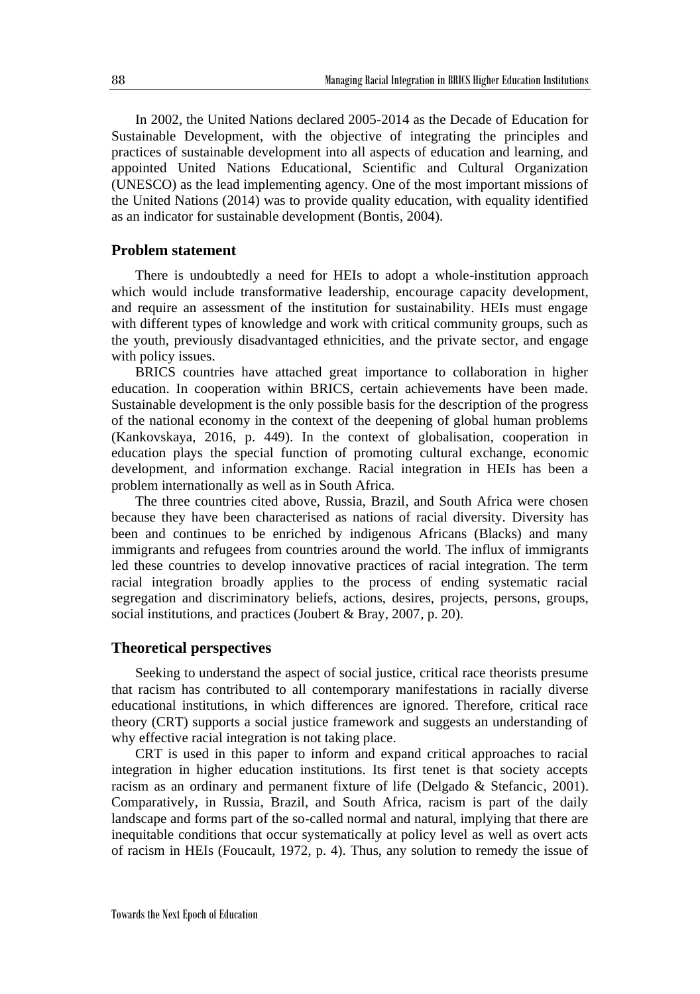In 2002, the United Nations declared 2005-2014 as the Decade of Education for Sustainable Development, with the objective of integrating the principles and practices of sustainable development into all aspects of education and learning, and appointed United Nations Educational, Scientific and Cultural Organization (UNESCO) as the lead implementing agency. One of the most important missions of the United Nations (2014) was to provide quality education, with equality identified as an indicator for sustainable development (Bontis, 2004).

### **Problem statement**

There is undoubtedly a need for HEIs to adopt a whole-institution approach which would include transformative leadership, encourage capacity development, and require an assessment of the institution for sustainability. HEIs must engage with different types of knowledge and work with critical community groups, such as the youth, previously disadvantaged ethnicities, and the private sector, and engage with policy issues.

BRICS countries have attached great importance to collaboration in higher education. In cooperation within BRICS, certain achievements have been made. Sustainable development is the only possible basis for the description of the progress of the national economy in the context of the deepening of global human problems (Kankovskaya, 2016, p. 449). In the context of globalisation, cooperation in education plays the special function of promoting cultural exchange, economic development, and information exchange. Racial integration in HEIs has been a problem internationally as well as in South Africa.

The three countries cited above, Russia, Brazil, and South Africa were chosen because they have been characterised as nations of racial diversity. Diversity has been and continues to be enriched by indigenous Africans (Blacks) and many immigrants and refugees from countries around the world. The influx of immigrants led these countries to develop innovative practices of racial integration. The term racial integration broadly applies to the process of ending systematic racial segregation and discriminatory beliefs, actions, desires, projects, persons, groups, social institutions, and practices (Joubert & Bray, 2007, p. 20).

### **Theoretical perspectives**

Seeking to understand the aspect of social justice, critical race theorists presume that racism has contributed to all contemporary manifestations in racially diverse educational institutions, in which differences are ignored. Therefore, critical race theory (CRT) supports a social justice framework and suggests an understanding of why effective racial integration is not taking place.

CRT is used in this paper to inform and expand critical approaches to racial integration in higher education institutions. Its first tenet is that society accepts racism as an ordinary and permanent fixture of life (Delgado & Stefancic, 2001). Comparatively, in Russia, Brazil, and South Africa, racism is part of the daily landscape and forms part of the so-called normal and natural, implying that there are inequitable conditions that occur systematically at policy level as well as overt acts of racism in HEIs (Foucault, 1972, p. 4). Thus, any solution to remedy the issue of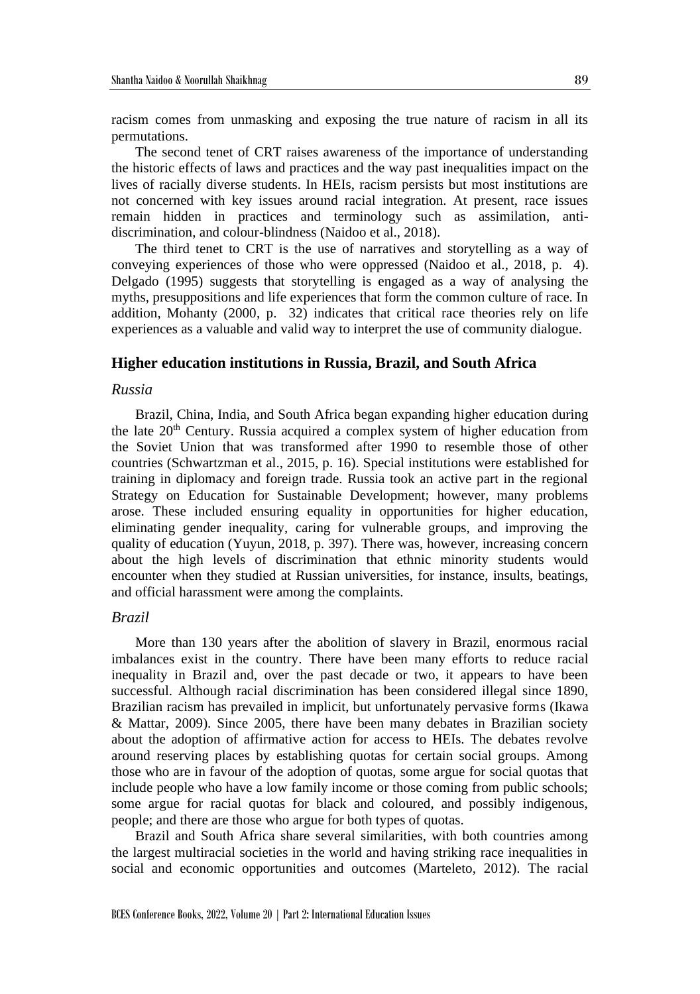racism comes from unmasking and exposing the true nature of racism in all its permutations.

The second tenet of CRT raises awareness of the importance of understanding the historic effects of laws and practices and the way past inequalities impact on the lives of racially diverse students. In HEIs, racism persists but most institutions are not concerned with key issues around racial integration. At present, race issues remain hidden in practices and terminology such as assimilation, antidiscrimination, and colour-blindness (Naidoo et al., 2018).

The third tenet to CRT is the use of narratives and storytelling as a way of conveying experiences of those who were oppressed (Naidoo et al., 2018, p. 4). Delgado (1995) suggests that storytelling is engaged as a way of analysing the myths, presuppositions and life experiences that form the common culture of race. In addition, Mohanty (2000, p. 32) indicates that critical race theories rely on life experiences as a valuable and valid way to interpret the use of community dialogue.

#### **Higher education institutions in Russia, Brazil, and South Africa**

### *Russia*

Brazil, China, India, and South Africa began expanding higher education during the late  $20<sup>th</sup>$  Century. Russia acquired a complex system of higher education from the Soviet Union that was transformed after 1990 to resemble those of other countries (Schwartzman et al., 2015, p. 16). Special institutions were established for training in diplomacy and foreign trade. Russia took an active part in the regional Strategy on Education for Sustainable Development; however, many problems arose. These included ensuring equality in opportunities for higher education, eliminating gender inequality, caring for vulnerable groups, and improving the quality of education (Yuyun, 2018, p. 397). There was, however, increasing concern about the high levels of discrimination that ethnic minority students would encounter when they studied at Russian universities, for instance, insults, beatings, and official harassment were among the complaints.

### *Brazil*

More than 130 years after the abolition of slavery in Brazil, enormous racial imbalances exist in the country. There have been many efforts to reduce racial inequality in Brazil and, over the past decade or two, it appears to have been successful. Although racial discrimination has been considered illegal since 1890, Brazilian racism has prevailed in implicit, but unfortunately pervasive forms (Ikawa & Mattar, 2009). Since 2005, there have been many debates in Brazilian society about the adoption of affirmative action for access to HEIs. The debates revolve around reserving places by establishing quotas for certain social groups. Among those who are in favour of the adoption of quotas, some argue for social quotas that include people who have a low family income or those coming from public schools; some argue for racial quotas for black and coloured, and possibly indigenous, people; and there are those who argue for both types of quotas.

Brazil and South Africa share several similarities, with both countries among the largest multiracial societies in the world and having striking race inequalities in social and economic opportunities and outcomes (Marteleto, 2012). The racial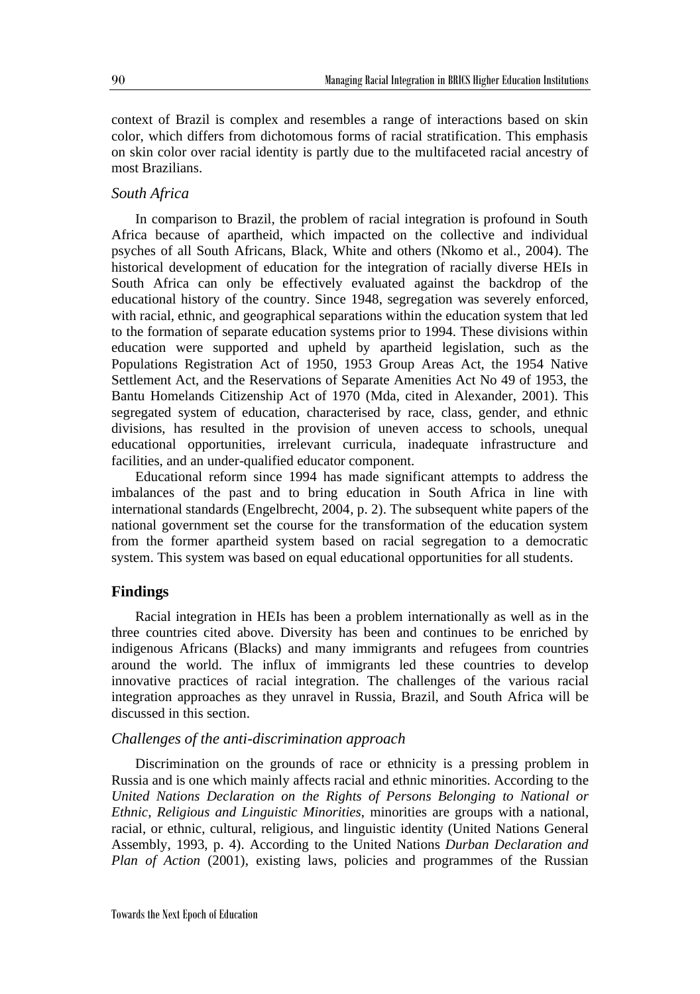context of Brazil is complex and resembles a range of interactions based on skin color, which differs from dichotomous forms of racial stratification. This emphasis on skin color over racial identity is partly due to the multifaceted racial ancestry of most Brazilians.

### *South Africa*

In comparison to Brazil, the problem of racial integration is profound in South Africa because of apartheid, which impacted on the collective and individual psyches of all South Africans, Black, White and others (Nkomo et al., 2004). The historical development of education for the integration of racially diverse HEIs in South Africa can only be effectively evaluated against the backdrop of the educational history of the country. Since 1948, segregation was severely enforced, with racial, ethnic, and geographical separations within the education system that led to the formation of separate education systems prior to 1994. These divisions within education were supported and upheld by apartheid legislation, such as the Populations Registration Act of 1950, 1953 Group Areas Act, the 1954 Native Settlement Act, and the Reservations of Separate Amenities Act No 49 of 1953, the Bantu Homelands Citizenship Act of 1970 (Mda, cited in Alexander, 2001). This segregated system of education, characterised by race, class, gender, and ethnic divisions, has resulted in the provision of uneven access to schools, unequal educational opportunities, irrelevant curricula, inadequate infrastructure and facilities, and an under-qualified educator component.

Educational reform since 1994 has made significant attempts to address the imbalances of the past and to bring education in South Africa in line with international standards (Engelbrecht, 2004, p. 2). The subsequent white papers of the national government set the course for the transformation of the education system from the former apartheid system based on racial segregation to a democratic system. This system was based on equal educational opportunities for all students.

### **Findings**

Racial integration in HEIs has been a problem internationally as well as in the three countries cited above. Diversity has been and continues to be enriched by indigenous Africans (Blacks) and many immigrants and refugees from countries around the world. The influx of immigrants led these countries to develop innovative practices of racial integration. The challenges of the various racial integration approaches as they unravel in Russia, Brazil, and South Africa will be discussed in this section.

### *Challenges of the anti-discrimination approach*

Discrimination on the grounds of race or ethnicity is a pressing problem in Russia and is one which mainly affects racial and ethnic minorities. According to the *United Nations Declaration on the Rights of Persons Belonging to National or Ethnic, Religious and Linguistic Minorities*, minorities are groups with a national, racial, or ethnic, cultural, religious, and linguistic identity (United Nations General Assembly, 1993, p. 4). According to the United Nations *Durban Declaration and Plan of Action* (2001), existing laws, policies and programmes of the Russian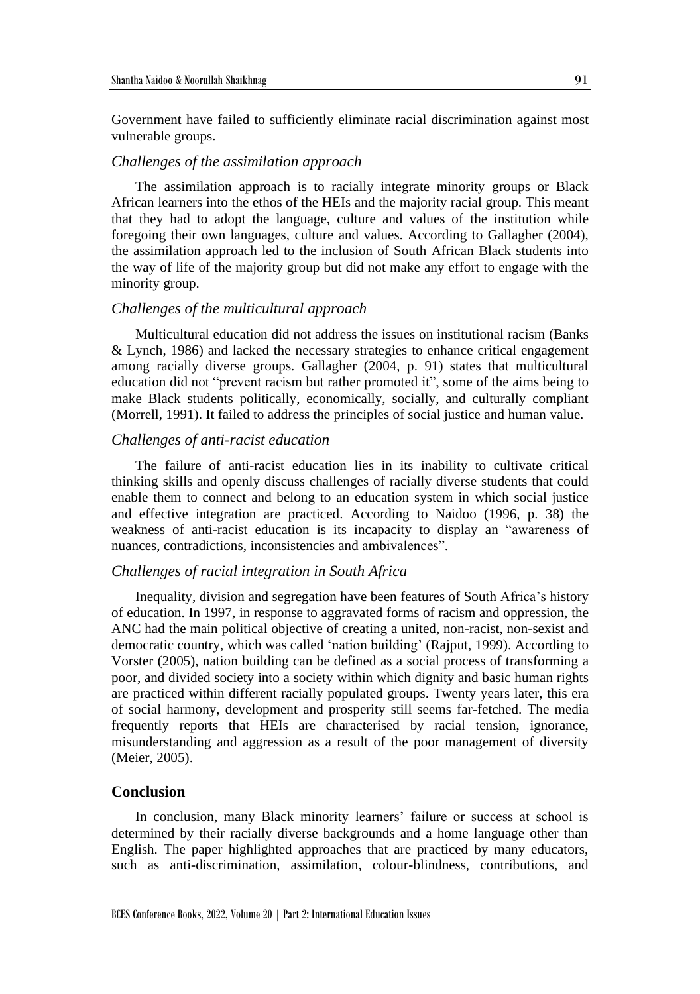Government have failed to sufficiently eliminate racial discrimination against most vulnerable groups.

### *Challenges of the assimilation approach*

The assimilation approach is to racially integrate minority groups or Black African learners into the ethos of the HEIs and the majority racial group. This meant that they had to adopt the language, culture and values of the institution while foregoing their own languages, culture and values. According to Gallagher (2004), the assimilation approach led to the inclusion of South African Black students into the way of life of the majority group but did not make any effort to engage with the minority group.

#### *Challenges of the multicultural approach*

Multicultural education did not address the issues on institutional racism (Banks & Lynch, 1986) and lacked the necessary strategies to enhance critical engagement among racially diverse groups. Gallagher (2004, p. 91) states that multicultural education did not "prevent racism but rather promoted it", some of the aims being to make Black students politically, economically, socially, and culturally compliant (Morrell, 1991). It failed to address the principles of social justice and human value.

### *Challenges of anti-racist education*

The failure of anti-racist education lies in its inability to cultivate critical thinking skills and openly discuss challenges of racially diverse students that could enable them to connect and belong to an education system in which social justice and effective integration are practiced. According to Naidoo (1996, p. 38) the weakness of anti-racist education is its incapacity to display an "awareness of nuances, contradictions, inconsistencies and ambivalences".

### *Challenges of racial integration in South Africa*

Inequality, division and segregation have been features of South Africa's history of education. In 1997, in response to aggravated forms of racism and oppression, the ANC had the main political objective of creating a united, non-racist, non-sexist and democratic country, which was called 'nation building' (Rajput, 1999). According to Vorster (2005), nation building can be defined as a social process of transforming a poor, and divided society into a society within which dignity and basic human rights are practiced within different racially populated groups. Twenty years later, this era of social harmony, development and prosperity still seems far-fetched. The media frequently reports that HEIs are characterised by racial tension, ignorance, misunderstanding and aggression as a result of the poor management of diversity (Meier, 2005).

### **Conclusion**

In conclusion, many Black minority learners' failure or success at school is determined by their racially diverse backgrounds and a home language other than English. The paper highlighted approaches that are practiced by many educators, such as anti-discrimination, assimilation, colour-blindness, contributions, and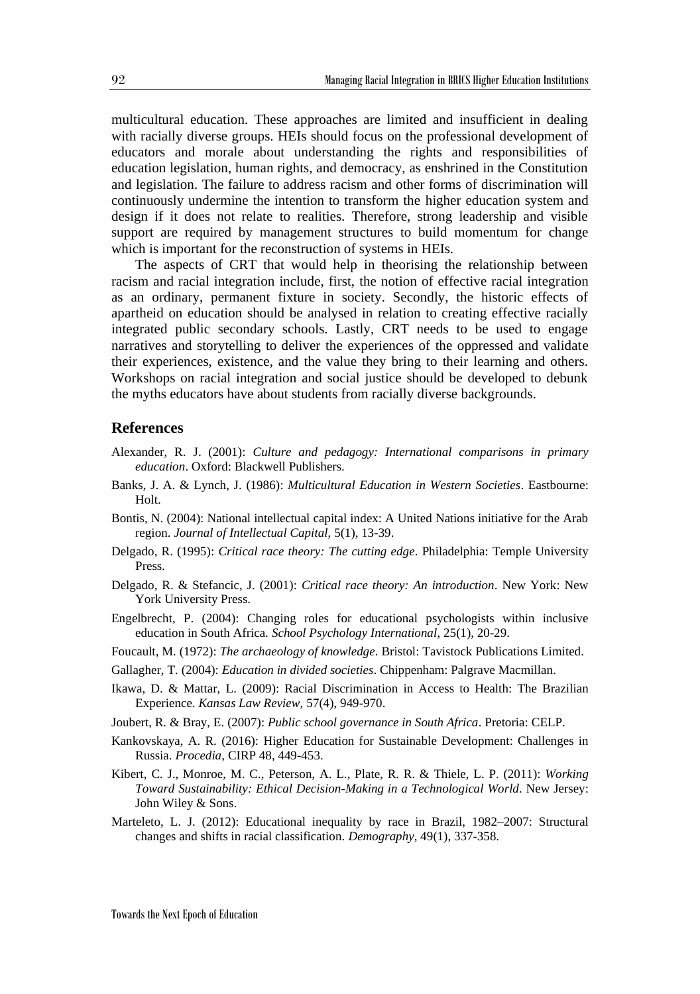multicultural education. These approaches are limited and insufficient in dealing with racially diverse groups. HEIs should focus on the professional development of educators and morale about understanding the rights and responsibilities of education legislation, human rights, and democracy, as enshrined in the Constitution and legislation. The failure to address racism and other forms of discrimination will continuously undermine the intention to transform the higher education system and design if it does not relate to realities. Therefore, strong leadership and visible support are required by management structures to build momentum for change which is important for the reconstruction of systems in HEIs.

The aspects of CRT that would help in theorising the relationship between racism and racial integration include, first, the notion of effective racial integration as an ordinary, permanent fixture in society. Secondly, the historic effects of apartheid on education should be analysed in relation to creating effective racially integrated public secondary schools. Lastly, CRT needs to be used to engage narratives and storytelling to deliver the experiences of the oppressed and validate their experiences, existence, and the value they bring to their learning and others. Workshops on racial integration and social justice should be developed to debunk the myths educators have about students from racially diverse backgrounds.

### **References**

- Alexander, R. J. (2001): *Culture and pedagogy: International comparisons in primary education*. Oxford: Blackwell Publishers.
- Banks, J. A. & Lynch, J. (1986): *Multicultural Education in Western Societies*. Eastbourne: Holt.
- Bontis, N. (2004): National intellectual capital index: A United Nations initiative for the Arab region. *Journal of Intellectual Capital*, 5(1), 13-39.
- Delgado, R. (1995): *Critical race theory: The cutting edge*. Philadelphia: Temple University Press.
- Delgado, R. & Stefancic, J. (2001): *Critical race theory: An introduction*. New York: New York University Press.
- Engelbrecht, P. (2004): Changing roles for educational psychologists within inclusive education in South Africa. *School Psychology International*, 25(1), 20-29.
- Foucault, M. (1972): *The archaeology of knowledge*. Bristol: Tavistock Publications Limited.
- Gallagher, T. (2004): *Education in divided societies*. Chippenham: Palgrave Macmillan.
- Ikawa, D. & Mattar, L. (2009): Racial Discrimination in Access to Health: The Brazilian Experience. *Kansas Law Review*, 57(4), 949-970.
- Joubert, R. & Bray, E. (2007): *Public school governance in South Africa*. Pretoria: CELP.
- Kankovskaya, A. R. (2016): Higher Education for Sustainable Development: Challenges in Russia. *Procedia*, CIRP 48, 449-453.
- Kibert, C. J., Monroe, M. C., Peterson, A. L., Plate, R. R. & Thiele, L. P. (2011): *Working Toward Sustainability: Ethical Decision-Making in a Technological World*. New Jersey: John Wiley & Sons.
- Marteleto, L. J. (2012): Educational inequality by race in Brazil, 1982–2007: Structural changes and shifts in racial classification. *Demography*, 49(1), 337-358.